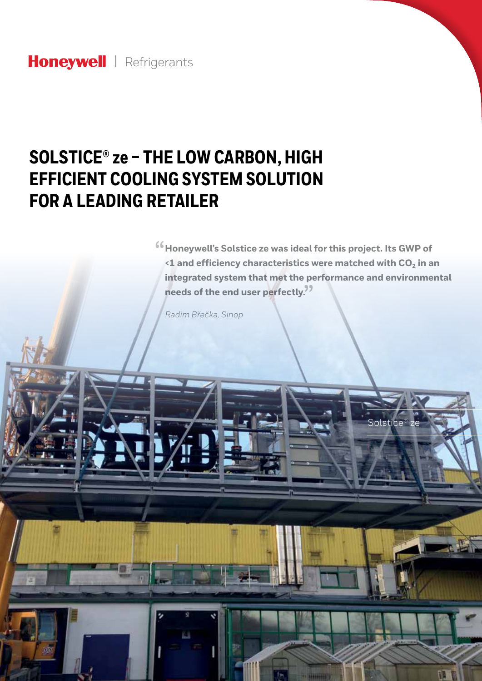## Honeywell | Refrigerants

G

# **SOLSTICE® ze – THE LOW CARBON, HIGH EFFICIENT COOLING SYSTEM SOLUTION FOR A LEADING RETAILER**

<sup>66</sup> Honeywell's Solstice ze was ideal for this project. Its GWP of <br> **1** and efficiency characteristics were matched with CO<sub>2</sub> in a **<1 and efficiency characteristics were matched with CO<sub>2</sub> in an integrated system that met the performance and environmental**  needs of the end user perfectly.<sup>99</sup>

Solstice® ze

*Radim Břečka, Sinop*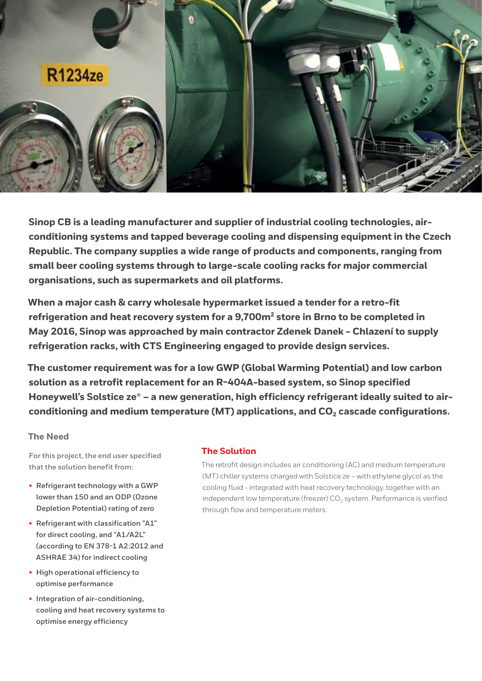

**Sinop CB is a leading manufacturer and supplier of industrial cooling technologies, airconditioning systems and tapped beverage cooling and dispensing equipment in the Czech Republic. The company supplies a wide range of products and components, ranging from small beer cooling systems through to large-scale cooling racks for major commercial organisations, such as supermarkets and oil platforms.** 

**When a major cash & carry wholesale hypermarket issued a tender for a retro-fit refrigeration and heat recovery system for a 9,700m2 store in Brno to be completed in May 2016, Sinop was approached by main contractor Zdenek Danek - Chlazení to supply refrigeration racks, with CTS Engineering engaged to provide design services.**

**The customer requirement was for a low GWP (Global Warming Potential) and low carbon solution as a retrofit replacement for an R-404A-based system, so Sinop specified**  Honeywell's Solstice ze<sup>®</sup> - a new generation, high efficiency refrigerant ideally suited to airconditioning and medium temperature (MT) applications, and CO<sub>2</sub> cascade configurations.

#### **The Need**

**For this project, the end user specified that the solution benefit from:**

- **• Refrigerant technology with a GWP lower than 150 and an ODP (Ozone Depletion Potential) rating of zero**
- **• Refrigerant with classification "A1" for direct cooling, and "A1/A2L" (according to EN 378-1 A2:2012 and ASHRAE 34) for indirect cooling**
- **• High operational efficiency to optimise performance**
- **• Integration of air-conditioning, cooling and heat recovery systems to optimise energy efficiency**

#### **The Solution**

The retrofit design includes air conditioning (AC) and medium temperature (MT) chiller systems charged with Solstice ze – with ethylene glycol as the cooling fluid - integrated with heat recovery technology, together with an independent low temperature (freezer)  $CO<sub>2</sub>$  system. Performance is verified through flow and temperature meters.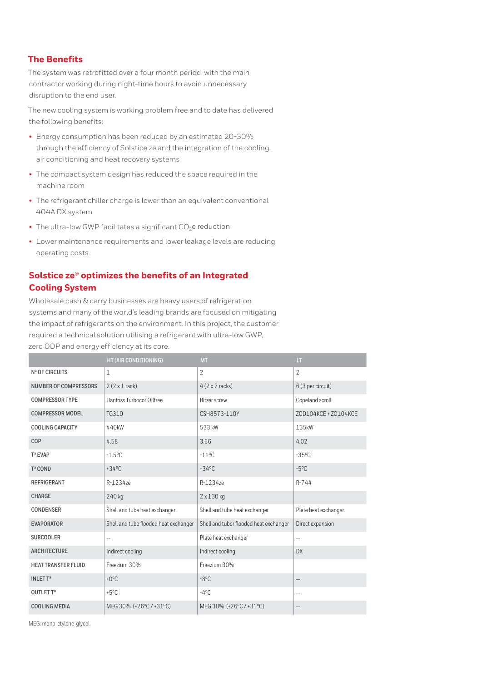## **The Benefits**

The system was retrofitted over a four month period, with the main contractor working during night-time hours to avoid unnecessary disruption to the end user.

The new cooling system is working problem free and to date has delivered the following benefits:

- Energy consumption has been reduced by an estimated 20-30% through the efficiency of Solstice ze and the integration of the cooling, air conditioning and heat recovery systems
- The compact system design has reduced the space required in the machine room
- The refrigerant chiller charge is lower than an equivalent conventional 404A DX system
- The ultra-low GWP facilitates a significant  $CO<sub>2</sub>e$  reduction
- Lower maintenance requirements and lower leakage levels are reducing operating costs

## **Solstice ze® optimizes the benefits of an Integrated Cooling System**

Wholesale cash & carry businesses are heavy users of refrigeration systems and many of the world's leading brands are focused on mitigating the impact of refrigerants on the environment. In this project, the customer required a technical solution utilising a refrigerant with ultra-low GWP, zero ODP and energy efficiency at its core.

|                              | HT (AIR CONDITIONING)                 | <b>MT</b>                              | $\mathbf{I}$             |
|------------------------------|---------------------------------------|----------------------------------------|--------------------------|
| Nª OF CIRCUITS               | 1                                     | $\overline{2}$                         | $\overline{\phantom{a}}$ |
| <b>NUMBER OF COMPRESSORS</b> | $2(2 \times 1$ rack)                  | $4(2 \times 2 \text{ racks})$          | 6 (3 per circuit)        |
| <b>COMPRESSOR TYPE</b>       | Danfoss Turbocor Oilfree              | <b>Bitzer screw</b>                    | Copeland scroll          |
| <b>COMPRESSOR MODEL</b>      | TG310                                 | CSH8573-110Y                           | ZOD104KCE + ZO104KCE     |
| <b>COOLING CAPACITY</b>      | 440kW                                 | 533 kW                                 | 135kW                    |
| <b>COP</b>                   | 4.58                                  | 3.66                                   | 4.02                     |
| Tª EVAP                      | $-1.5$ °C                             | $-11^{\circ}$ C                        | $-35^{\circ}$ C          |
| Tª COND                      | $+34^{\circ}$ C                       | $+34^{\circ}$ C                        | $-5^{\circ}$ C           |
| <b>REFRIGERANT</b>           | R-1234ze                              | R-1234ze                               | $R - 744$                |
| CHARGE                       | 240 kg                                | 2 x 130 kg                             |                          |
| <b>CONDENSER</b>             | Shell and tube heat exchanger         | Shell and tube heat exchanger          | Plate heat exchanger     |
| <b>EVAPORATOR</b>            | Shell and tube flooded heat exchanger | Shell and tuber flooded heat exchanger | Direct expansion         |
| <b>SUBCOOLER</b>             | $-$                                   | Plate heat exchanger                   | $-$                      |
| <b>ARCHITECTURE</b>          | Indirect cooling                      | Indirect cooling                       | DX                       |
| <b>HEAT TRANSFER FLUID</b>   | Freezium 30%                          | Freezium 30%                           |                          |
| <b>INLETT<sup>a</sup></b>    | $+0$ <sup>o</sup> C                   | $-8^{\circ}$ C                         | $-$                      |
| OUTLET Tª                    | $+5^{\circ}$ C                        | $-4^{\circ}$ C                         | $-$                      |
| <b>COOLING MEDIA</b>         | MEG 30% (+26°C / +31°C)               | MEG 30% (+26°C / +31°C)                | --                       |

MEG: mono-etylene-glycol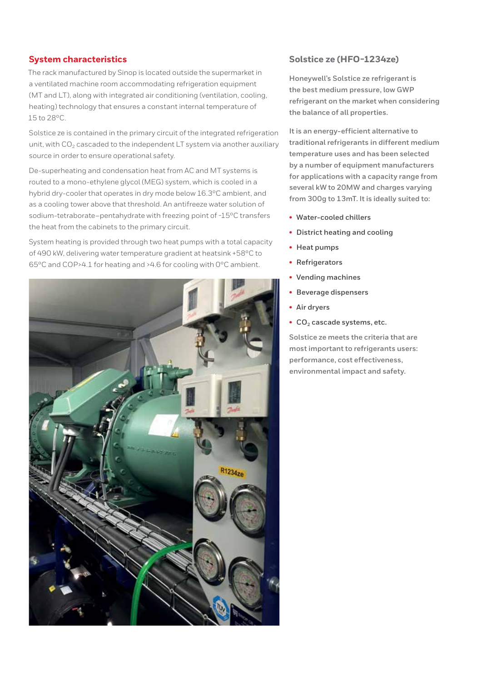### **System characteristics**

The rack manufactured by Sinop is located outside the supermarket in a ventilated machine room accommodating refrigeration equipment (MT and LT), along with integrated air conditioning (ventilation, cooling, heating) technology that ensures a constant internal temperature of 15 to 28ºC.

Solstice ze is contained in the primary circuit of the integrated refrigeration unit, with  $CO<sub>2</sub>$  cascaded to the independent LT system via another auxiliary source in order to ensure operational safety.

De-superheating and condensation heat from AC and MT systems is routed to a mono-ethylene glycol (MEG) system, which is cooled in a hybrid dry-cooler that operates in dry mode below 16.3ºC ambient, and as a cooling tower above that threshold. An antifreeze water solution of sodium-tetraborate–pentahydrate with freezing point of -15ºC transfers the heat from the cabinets to the primary circuit.

System heating is provided through two heat pumps with a total capacity of 490 kW, delivering water temperature gradient at heatsink +58ºC to 65ºC and COP>4.1 for heating and >4.6 for cooling with 0ºC ambient.



#### **Solstice ze (HFO-1234ze)**

**Honeywell's Solstice ze refrigerant is the best medium pressure, low GWP refrigerant on the market when considering the balance of all properties.**

**It is an energy-efficient alternative to traditional refrigerants in different medium temperature uses and has been selected by a number of equipment manufacturers for applications with a capacity range from several kW to 20MW and charges varying from 300g to 13mT. It is ideally suited to:**

- **• Water-cooled chillers**
- **• District heating and cooling**
- **• Heat pumps**
- **• Refrigerators**
- **• Vending machines**
- **• Beverage dispensers**
- **• Air dryers**
- CO<sub>2</sub> cascade systems, etc.

**Solstice ze meets the criteria that are most important to refrigerants users: performance, cost effectiveness, environmental impact and safety.**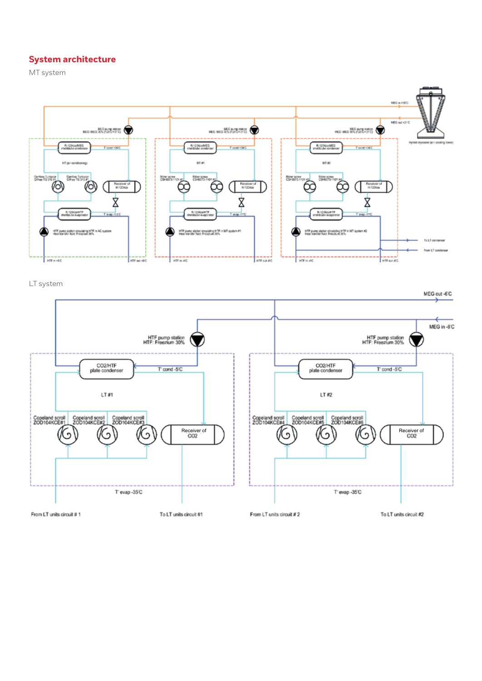## **System architecture**

MT system



LT system